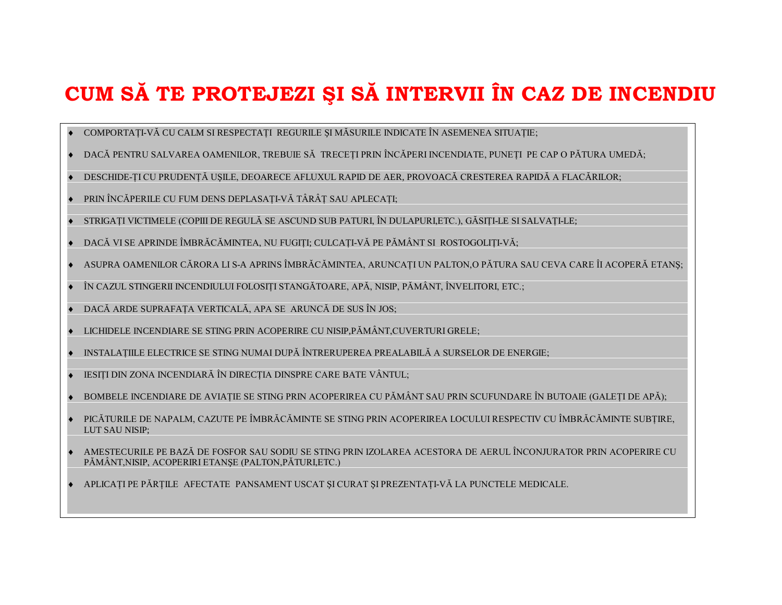## CUM SĂ TE PROTEJEZI ȘI SĂ INTERVII ÎN CAZ DE INCENDIU

- COMPORTATI-VĂ CU CALM SI RESPECTATI REGURILE SI MĂSURILE INDICATE ÎN ASEMENEA SITUATIE;
- DACĂ PENTRU SALVAREA OAMENILOR, TREBUIE SĂ TRECEȚI PRIN ÎNCĂPERI INCENDIATE, PUNEȚI PE CAP O PĂTURA UMEDĂ;
- DESCHIDE-TI CU PRUDENȚĂ USILE, DEOARECE AFLUXUL RAPID DE AER, PROVOACĂ CRESTEREA RAPIDĂ A FLACĂRILOR;
- PRIN ÎNCĂPERILE CU FUM DENS DEPLASAȚI-VĂ TÂRÂȚ SAU APLECAȚI;
- STRIGATI VICTIMELE (COPIII DE REGULĂ SE ASCUND SUB PATURI, ÎN DULAPURI,ETC.), GĂSIȚI-LE SI SALVAȚI-LE;
- DACĂ VI SE APRINDE ÎMBRĂCĂMINTEA, NU FUGIȚI; CULCAȚI-VĂ PE PĂMÂNT SI ROSTOGOLIȚI-VĂ;
- ASUPRA OAMENILOR CĂRORA LI S-A APRINS ÎMBRĂCĂMINTEA, ARUNCAȚI UN PALTON,O PĂTURA SAU CEVA CARE ÎI ACOPERĂ ETANȘ;
- ÎN CAZUL STINGERII INCENDIULUI FOLOSITI STANGĂTOARE, APĂ, NISIP, PĂMÂNT, ÎNVELITORI, ETC.;
- DACĂ ARDE SUPRAFAȚA VERTICALĂ, APA SE ARUNCĂ DE SUS ÎN JOS;
- LICHIDELE INCENDIARE SE STING PRIN ACOPERIRE CU NISIP, PĂMÂNT, CUVERTURI GRELE;
- INSTALATIILE ELECTRICE SE STING NUMAI DUPĂ ÎNTRERUPEREA PREALABILĂ A SURSELOR DE ENERGIE;
- IESIȚI DIN ZONA INCENDIARĂ ÎN DIRECȚIA DINSPRE CARE BATE VÂNTUL;
- BOMBELE INCENDIARE DE AVIATIE SE STING PRIN ACOPERIREA CU PĂMÂNT SAU PRIN SCUFUNDARE ÎN BUTOAIE (GALETI DE APĂ);
- PICĂTURILE DE NAPALM, CAZUTE PE ÎMBRĂCĂMINTE SE STING PRIN ACOPERIREA LOCULUI RESPECTIV CU ÎMBRĂCĂMINTE SUBȚIRE, LUT SAU NISIP:
- AMESTECURILE PE BAZĂ DE FOSFOR SAU SODIU SE STING PRIN IZOLAREA ACESTORA DE AERUL ÎNCONJURATOR PRIN ACOPERIRE CU PĂMÂNT, NISIP, ACOPERIRI ETANȘE (PALTON, PĂTURI, ETC.)
- APLICAȚI PE PĂRȚILE AFECTATE PANSAMENT USCAT ȘI CURAT ȘI PREZENTAȚI-VĂ LA PUNCTELE MEDICALE.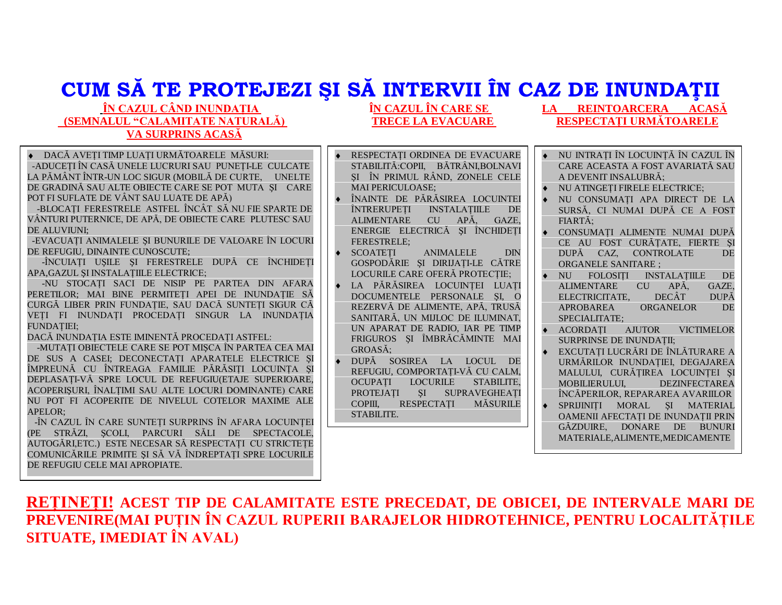# CUM SĂ TE PROTEJEZI ȘI SĂ INTERVII ÎN CAZ DE INUNDAȚII

### ÎN CAZUL CÂND INUNDATIA (SEMNALUL "CALAMITATE NATURALĂ) **VA SURPRINS ACASĂ**

ÎN CAZUL ÎN CARE SE **TRECE LA EVACUARE** 

DACĂ AVETI TIMP LUATI URMĂTOARELE MĂSURI: -ADUCETI ÎN CASĂ UNELE LUCRURI SAU PUNETI-LE CULCATE LA PĂMÂNT ÎNTR-UN LOC SIGUR (MOBILĂ DE CURTE. UNELTE DE GRADINĂ SAU ALTE OBIECTE CARE SE POT MUTA SI CARE POT FI SUFLATE DE VÂNT SAU LUATE DE APĂ)

-BLOCATI FERESTRELE ASTFEL ÎNCÂT SĂ NU FIE SPARTE DE VÂNTURI PUTERNICE, DE APĂ, DE OBIECTE CARE PLUTESC SAU **DE ALUVIUNI:** 

-EVACUAȚI ANIMALELE ȘI BUNURILE DE VALOARE ÎN LOCURI DE REFUGIU, DINAINTE CUNOSCUTE;

-ÎNCUIAȚI USILE ȘI FERESTRELE DUPĂ CE ÎNCHIDEȚI APA, GAZUL SI INSTALATIILE ELECTRICE;

-NU STOCATI SACI DE NISIP PE PARTEA DIN AFARA PERETILOR: MAI BINE PERMITETI APEI DE INUNDATIE SĂ CURGĂ LIBER PRIN FUNDATIE, SAU DACĂ SUNTETI SIGUR CĂ VEȚI FI INUNDAȚI PROCEDAȚI SINGUR LA INUNDAȚIA **FUNDATIEI:** 

DACĂ INUNDAȚIA ESTE IMINENTĂ PROCEDAȚI ASTFEL:

-MUTAȚI OBIECTELE CARE SE POT MIȘCA ÎN PARTEA CEA MAI DE SUS A CASEI: DECONECTATI APARATELE ELECTRICE SI ÎMPREUNĂ CU ÎNTREAGA FAMILIE PĂRĂSIȚI LOCUINȚA ȘI DEPLASATI-VĂ SPRE LOCUL DE REFUGIU(ETAJE SUPERIOARE, ACOPERISURI. ÎNALTIMI SAU ALTE LOCURI DOMINANTE) CARE NU POT FI ACOPERITE DE NIVELUL COTELOR MAXIME ALE APELOR:

-ÎN CAZUL ÎN CARE SUNTETI SURPRINS ÎN AFARA LOCUINTEI (PE STRĂZI, SCOLI, PARCURI SĂLI DE SPECTACOLE, AUTOGĂRI, ETC.) ESTE NECESAR SĂ RESPECTAȚI CU STRICTEȚE COMUNICĂRILE PRIMITE ȘI SĂ VĂ ÎNDREPTATI SPRE LOCURILE DE REFUGIU CELE MAI APROPIATE.

- RESPECTATI ORDINEA DE EVACUARE STABILITĂ: COPII, BĂTRÂNI, BOLNAVI SI ÎN PRIMUL RÂND, ZONELE CELE **MAI PERICULOASE:**
- ÎNAINTE DE PĂRĂSIREA LOCUINTEI ÎNTRERUPETI INSTALATIILE DE **ALIMENTARE** CU APĂ GAZE ENERGIE ELECTRICĂ SI ÎNCHIDETI **FERESTRELE:**
- **SCOATETI ANIMALELE DIN** GOSPODĂRIE ȘI DIRIJAȚI-LE CĂTRE LOCURILE CARE OFERĂ PROTECȚIE;
- · LA PĂRĂSIREA LOCUINTEI LUATI DOCUMENTELE PERSONALE SI. O REZERVĂ DE ALIMENTE, APĂ, TRUSĂ SANITARĂ, UN MIJLOC DE ILUMINAT. UN APARAT DE RADIO. IAR PE TIMP FRIGUROS ȘI ÎMBRĂCĂMINTE MAI GROASĂ:
- DUPĂ SOSIREA LA LOCUL DE REFUGIU, COMPORTAȚI-VĂ CU CALM, OCUPATI LOCURILE STABILITE. **PROTEJATI** SI SUPRAVEGHEATI COPIII. **RESPECTATI MĂSURILE** STABILITE.
- LA REINTOARCERA ACASĂ RESPECTATI URMĂTOARELE
- NU INTRATI ÎN LOCUINTĂ ÎN CAZUL ÎN CARE ACEASTA A FOST AVARIATĂ SAU A DEVENIT INSALUBRĂ:
- NU ATINGEȚI FIRELE ELECTRICE;
- NU CONSUMATI APA DIRECT DE LA SURSĂ, CI NUMAI DUPĂ CE A FOST FIARTĂ:
- CONSUMATI ALIMENTE NUMAI DUPĂ CE AU FOST CURĂȚATE, FIERTE ȘI DUPĂ CAZ, CONTROLATE DE **ORGANELE SANITARE:**
- NU FOLOSITI INSTALATIILE DE **ALIMENTARE**  $CU$   $AP\tilde{A}$ GAZE. ELECTRICITATE. DECÂT **DUPĂ APROBAREA ORGANELOR DE** SPECIALITATE:
- $\triangle$  ACORDATI AJUTOR **VICTIMELOR** SURPRINSE DE INUNDAȚII;
- EXCUTAȚI LUCRĂRI DE ÎNLĂTURARE A URMĂRILOR INUNDATIEI, DEGAJAREA MALULUI, CURĂTIREA LOCUINTEI SI MOBILIERULUI. **DEZINFECTAREA** ÎNCĂPERILOR, REPARAREA AVARIILOR
- SPRIJINITI MORAL SI MATERIAL OAMENII AFECTAȚI DE INUNDAȚII PRIN GĂZDUIRE. DONARE DE BUNURI MATERIALE.ALIMENTE.MEDICAMENTE

### RETINETI! ACEST TIP DE CALAMITATE ESTE PRECEDAT, DE OBICEI, DE INTERVALE MARI DE PREVENIRE(MAI PUȚIN ÎN CAZUL RUPERII BARAJELOR HIDROTEHNICE, PENTRU LOCALITĂȚILE **SITUATE, IMEDIAT ÎN AVAL)**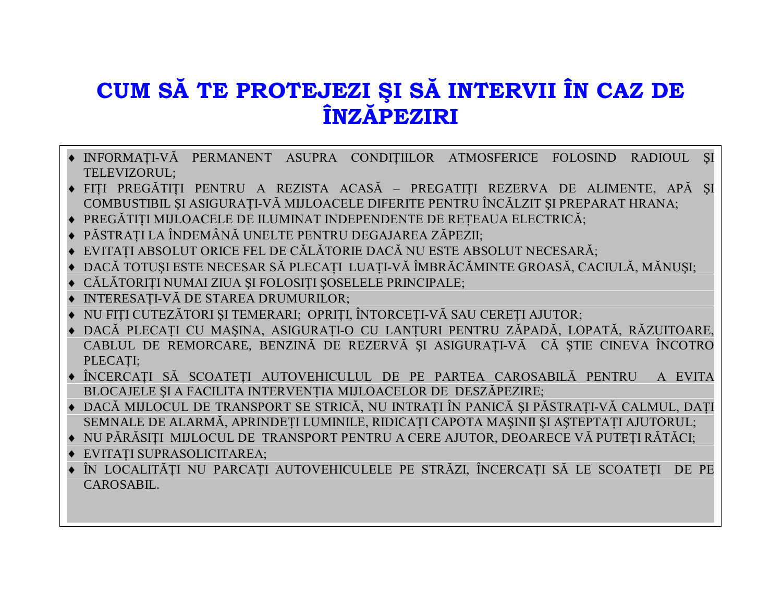## CUM SĂ TE PROTEJEZI ȘI SĂ INTERVII ÎN CAZ DE **ÎNZĂPEZIRI**

- INFORMAȚI-VĂ PERMANENT ASUPRA CONDIȚIILOR ATMOSFERICE FOLOSIND RADIOUL ȘI TELEVIZORUL;
- FIȚI PREGĂTIȚI PENTRU A REZISTA ACASĂ PREGATIȚI REZERVA DE ALIMENTE, APĂ ȘI COMBUSTIBIL ȘI ASIGURAȚI-VĂ MIJLOACELE DIFERITE PENTRU ÎNCĂLZIT ȘI PREPARAT HRANA;
- ◆ PREGĂTITI MIJLOACELE DE ILUMINAT INDEPENDENTE DE RETEAUA ELECTRICĂ;
- ◆ PĂSTRAȚI LA ÎNDEMÂNĂ UNELTE PENTRU DEGAJAREA ZĂPEZII;
- ◆ EVITAȚI ABSOLUT ORICE FEL DE CĂLĂTORIE DACĂ NU ESTE ABSOLUT NECESARĂ;
- ◆ DACĂ TOTUSI ESTE NECESAR SĂ PLECATI LUATI-VĂ ÎMBRĂCĂMINTE GROASĂ, CACIULĂ, MĂNUSI;
- · CĂLĂTORIȚI NUMAI ZIUA ȘI FOLOSIȚI ȘOSELELE PRINCIPALE;
- ◆ INTERESATI-VĂ DE STAREA DRUMURILOR;
- ◆ NU FITI CUTEZĂTORI SI TEMERARI: OPRITI, ÎNTORCETI-VĂ SAU CERETI AJUTOR;
- · DACĂ PLECAȚI CU MAȘINA, ASIGURAȚI-O CU LANȚURI PENTRU ZĂPADĂ, LOPATĂ, RĂZUITOARE, CABLUL DE REMORCARE, BENZINĂ DE REZERVĂ ȘI ASIGURATI-VĂ CĂ STIE CINEVA ÎNCOTRO PLECATI;
- · ÎNCERCAȚI SĂ SCOATEȚI AUTOVEHICULUL DE PE PARTEA CAROSABILĂ PENTRU A EVITA BLOCAJELE ȘI A FACILITA INTERVENȚIA MIJLOACELOR DE DESZĂPEZIRE;
- DACĂ MIJLOCUL DE TRANSPORT SE STRICĂ, NU INTRATI ÎN PANICĂ ȘI PĂSTRATI-VĂ CALMUL, DATI SEMNALE DE ALARMĂ, APRINDEȚI LUMINILE, RIDICAȚI CAPOTA MAȘINII ȘI ASTEPTAȚI AJUTORUL;
- NU PĂRĂSITI MIJLOCUL DE TRANSPORT PENTRU A CERE AJUTOR, DEOARECE VĂ PUTETI RĂTĂCI;
- · EVITATI SUPRASOLICITAREA:
- ÎN LOCALITĂȚI NU PARCAȚI AUTOVEHICULELE PE STRĂZI, ÎNCERCAȚI SĂ LE SCOATEȚI DE PE CAROSABIL.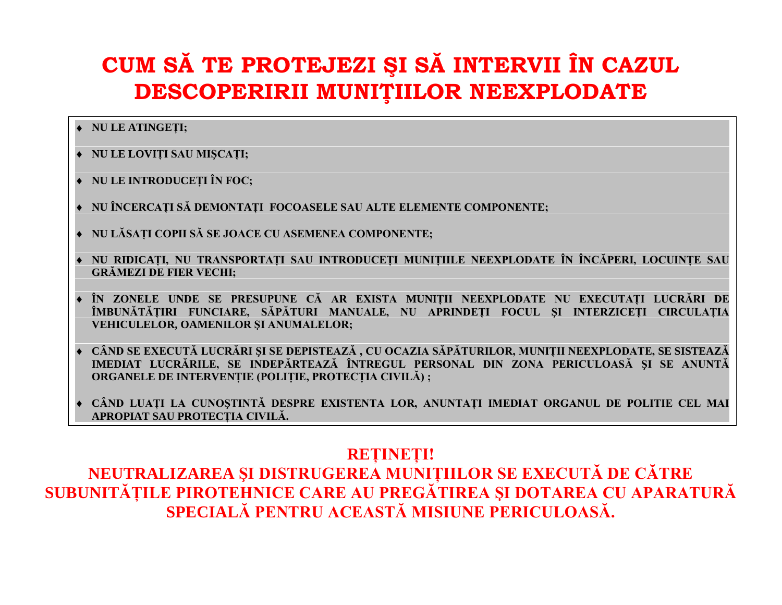# CUM SĂ TE PROTEJEZI ȘI SĂ INTERVII ÎN CAZUL DESCOPERIRII MUNIȚIILOR NEEXPLODATE

### ◆ NU LE ATINGETI;

- · NU LE LOVIȚI SAU MISCATI:
- NU LE INTRODUCETI ÎN FOC;
- ◆ NU ÎNCERCATI SĂ DEMONTATI FOCOASELE SAU ALTE ELEMENTE COMPONENTE;
- ◆ NU LĂSATI COPII SĂ SE JOACE CU ASEMENEA COMPONENTE;
- NU RIDICAȚI, NU TRANSPORTAȚI SAU INTRODUCEȚI MUNIȚIILE NEEXPLODATE ÎN ÎNCĂPERI, LOCUINTE SAU **GRĂMEZI DE FIER VECHI;**
- ÎN ZONELE UNDE SE PRESUPUNE CĂ AR EXISTA MUNIȚII NEEXPLODATE NU EXECUTAȚI LUCRĂRI DE ÎMBUNĂTĂȚIRI FUNCIARE, SĂPĂTURI MANUALE, NU APRINDEȚI FOCUL ȘI INTERZICETI CIRCULATIA **VEHICULELOR, OAMENILOR SI ANUMALELOR;**
- ◆ CÂND SE EXECUTĂ LUCRĂRI ȘI SE DEPISTEAZĂ, CU OCAZIA SĂPĂTURILOR, MUNIȚII NEEXPLODATE, SE SISTEAZĂ IMEDIAT LUCRĂRILE, SE INDEPĂRTEAZĂ ÎNTREGUL PERSONAL DIN ZONA PERICULOASĂ SI SE ANUNTĂ ORGANELE DE INTERVENTIE (POLITIE, PROTECTIA CIVILĂ) ;
- CÂND LUATI LA CUNOSTINTĂ DESPRE EXISTENTA LOR, ANUNTATI IMEDIAT ORGANUL DE POLITIE CEL MAI APROPIAT SAU PROTECTIA CIVILĂ.

### **RETINETI!**

NEUTRALIZAREA ȘI DISTRUGEREA MUNIȚIILOR SE EXECUTĂ DE CĂTRE SUBUNITĂȚILE PIROTEHNICE CARE AU PREGĂTIREA ȘI DOTAREA CU APARATURĂ SPECIALĂ PENTRU ACEASTĂ MISIUNE PERICULOASĂ.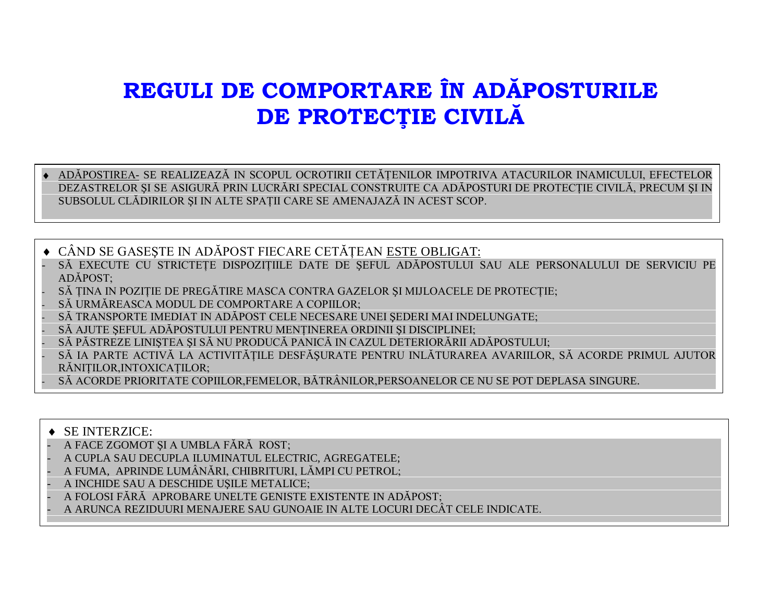## REGULI DE COMPORTARE ÎN ADĂPOSTURILE DE PROTECȚIE CIVILĂ

ADĂPOSTIREA- SE REALIZEAZĂ IN SCOPUL OCROTIRII CETĂTENILOR IMPOTRIVA ATACURILOR INAMICULUI, EFECTELOR DEZASTRELOR ȘI SE ASIGURĂ PRIN LUCRĂRI SPECIAL CONSTRUITE CA ADĂPOSTURI DE PROTECȚIE CIVILĂ, PRECUM ȘI IN SUBSOLUL CLĂDIRILOR ȘI IN ALTE SPAȚII CARE SE AMENAJAZĂ IN ACEST SCOP.

◆ CÂND SE GASESTE IN ADĂPOST FIECARE CETĂTEAN ESTE OBLIGAT:

- SĂ EXECUTE CU STRICTETE DISPOZITIILE DATE DE SEFUL ADĂPOSTULUI SAU ALE PERSONALULUI DE SERVICIU PE ADĂPOST:
- SĂ ȚINA IN POZIȚIE DE PREGĂTIRE MASCA CONTRA GAZELOR ȘI MIJLOACELE DE PROTECȚIE;
- SĂ URMĂREASCA MODUL DE COMPORTARE A COPIILOR:
- SĂ TRANSPORTE IMEDIAT IN ADĂPOST CELE NECESARE UNEI SEDERI MAI INDELUNGATE:
- SĂ AJUTE SEFUL ADĂPOSTULUI PENTRU MENȚINEREA ORDINII ȘI DISCIPLINEI;
- SĂ PĂSTREZE LINIȘTEA ȘI SĂ NU PRODUCĂ PANICĂ IN CAZUL DETERIORĂRII ADĂPOSTULUI;
- SĂ IA PARTE ACTIVĂ LA ACTIVITĂTILE DESFĂSURATE PENTRU INLĂTURAREA AVARIILOR, SĂ ACORDE PRIMUL AJUTOR RĂNITILOR, INTOXICATILOR;

SĂ ACORDE PRIORITATE COPIILOR, FEMELOR, BĂTRÂNILOR, PERSOANELOR CE NU SE POT DEPLASA SINGURE.

#### $\triangle$  SE INTERZICE:

- A FACE ZGOMOT SI A UMBLA FĂRĂ ROST;
- A CUPLA SAU DECUPLA ILUMINATUL ELECTRIC, AGREGATELE;
- A FUMA, APRINDE LUMÂNĂRI, CHIBRITURI, LĂMPI CU PETROL;
- A INCHIDE SAU A DESCHIDE UȘILE METALICE;
- A FOLOSI FĂRĂ APROBARE UNELTE GENISTE EXISTENTE IN ADĂPOST;
- A ARUNCA REZIDUURI MENAJERE SAU GUNOAIE IN ALTE LOCURI DECÂT CELE INDICATE.